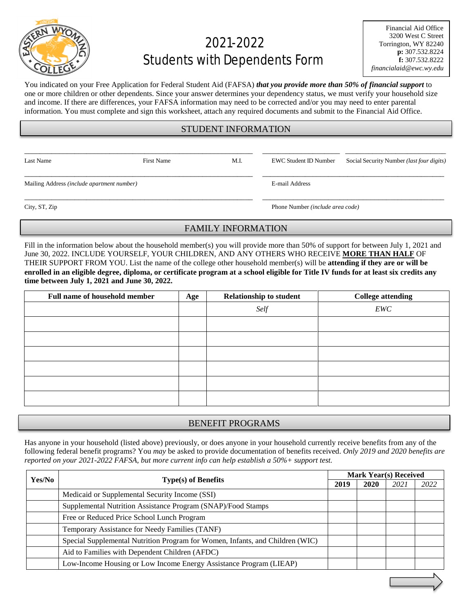

# 2021-2022 Students with Dependents Form

You indicated on your Free Application for Federal Student Aid (FAFSA) *that you provide more than 50% of financial support* to one or more children or other dependents. Since your answer determines your dependency status, we must verify your household size and income. If there are differences, your FAFSA information may need to be corrected and/or you may need to enter parental information. You must complete and sign this worksheet, attach any required documents and submit to the Financial Aid Office.

## STUDENT INFORMATION

\_\_\_\_\_\_\_\_\_\_\_\_\_\_\_\_\_\_\_\_\_\_\_\_\_\_\_\_\_\_\_\_\_\_\_\_\_\_\_\_\_\_\_\_\_\_\_\_\_\_\_\_\_\_\_\_\_\_\_ \_\_\_\_\_\_\_\_\_\_\_\_\_\_\_\_\_\_\_\_ \_\_\_\_\_\_\_\_\_\_\_\_\_\_\_\_\_\_\_\_\_\_\_\_\_\_

\_\_\_\_\_\_\_\_\_\_\_\_\_\_\_\_\_\_\_\_\_\_\_\_\_\_\_\_\_\_\_\_\_\_\_\_\_\_\_\_\_\_\_\_\_\_\_\_\_\_\_\_\_\_\_\_\_\_\_ \_\_\_\_\_\_\_\_\_\_\_\_\_\_\_\_\_\_\_\_\_\_\_\_\_\_\_\_\_\_\_\_\_\_\_\_\_\_\_\_\_\_\_\_\_\_\_

Last Name First Name First Name M.I. EWC Student ID Number Social Security Number *(last four digits)* 

Mailing Address *(include apartment number)* E-mail Address

\_\_\_\_\_\_\_\_\_\_\_\_\_\_\_\_\_\_\_\_\_\_\_\_\_\_\_\_\_\_\_\_\_\_\_\_\_\_\_\_\_\_\_\_\_\_\_\_\_\_\_\_\_\_\_\_\_\_\_ \_\_\_\_\_\_\_\_\_\_\_\_\_\_\_\_\_\_\_\_\_\_\_\_\_\_\_\_\_\_\_\_\_\_\_\_\_\_\_\_\_\_\_\_\_\_\_ City, ST, Zip Phone Number *(include area code)*

#### FAMILY INFORMATION

Fill in the information below about the household member(s) you will provide more than 50% of support for between July 1, 2021 and June 30, 2022. INCLUDE YOURSELF, YOUR CHILDREN, AND ANY OTHERS WHO RECEIVE **MORE THAN HALF** OF THEIR SUPPORT FROM YOU. List the name of the college other household member(s) will be **attending if they are or will be enrolled in an eligible degree, diploma, or certificate program at a school eligible for Title IV funds for at least six credits any time between July 1, 2021 and June 30, 2022.**

| <b>Full name of household member</b> | Age | <b>Relationship to student</b> | <b>College attending</b> |
|--------------------------------------|-----|--------------------------------|--------------------------|
|                                      |     | Self                           | EWC                      |
|                                      |     |                                |                          |
|                                      |     |                                |                          |
|                                      |     |                                |                          |
|                                      |     |                                |                          |
|                                      |     |                                |                          |
|                                      |     |                                |                          |

## BENEFIT PROGRAMS

Has anyone in your household (listed above) previously, or does anyone in your household currently receive benefits from any of the following federal benefit programs? You *may* be asked to provide documentation of benefits received. *Only 2019 and 2020 benefits are reported on your 2021-2022 FAFSA, but more current info can help establish a 50%+ support test.*

| Yes/No |                                                                               | <b>Mark Year(s) Received</b> |      |      |      |
|--------|-------------------------------------------------------------------------------|------------------------------|------|------|------|
|        | Type(s) of Benefits                                                           |                              | 2020 | 2021 | 2022 |
|        | Medicaid or Supplemental Security Income (SSI)                                |                              |      |      |      |
|        | Supplemental Nutrition Assistance Program (SNAP)/Food Stamps                  |                              |      |      |      |
|        | Free or Reduced Price School Lunch Program                                    |                              |      |      |      |
|        | Temporary Assistance for Needy Families (TANF)                                |                              |      |      |      |
|        | Special Supplemental Nutrition Program for Women, Infants, and Children (WIC) |                              |      |      |      |
|        | Aid to Families with Dependent Children (AFDC)                                |                              |      |      |      |
|        | Low-Income Housing or Low Income Energy Assistance Program (LIEAP)            |                              |      |      |      |
|        |                                                                               |                              |      |      |      |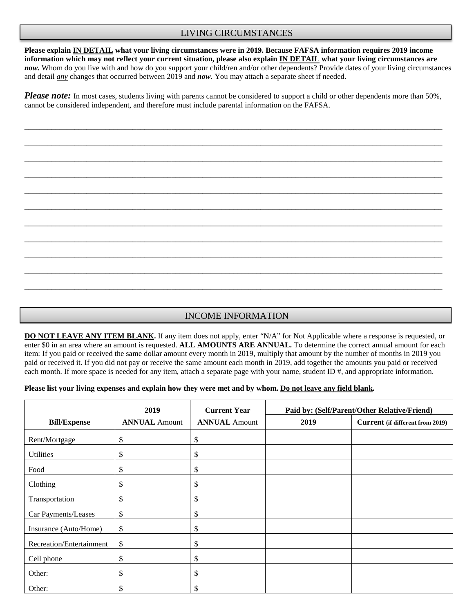## LIVING CIRCUMSTANCES

**Please explain IN DETAIL what your living circumstances were in 2019. Because FAFSA information requires 2019 income information which may not reflect your current situation, please also explain IN DETAIL what your living circumstances are** *now.* Whom do you live with and how do you support your child/ren and/or other dependents? Provide dates of your living circumstances and detail *any* changes that occurred between 2019 and *now*. You may attach a separate sheet if needed.

*Please note:* In most cases, students living with parents cannot be considered to support a child or other dependents more than 50%, cannot be considered independent, and therefore must include parental information on the FAFSA.

\_\_\_\_\_\_\_\_\_\_\_\_\_\_\_\_\_\_\_\_\_\_\_\_\_\_\_\_\_\_\_\_\_\_\_\_\_\_\_\_\_\_\_\_\_\_\_\_\_\_\_\_\_\_\_\_\_\_\_\_\_\_\_\_\_\_\_\_\_\_\_\_\_\_\_\_\_\_\_\_\_\_\_\_\_\_\_\_\_\_\_\_\_\_\_\_\_\_\_\_\_\_\_\_\_\_\_\_

\_\_\_\_\_\_\_\_\_\_\_\_\_\_\_\_\_\_\_\_\_\_\_\_\_\_\_\_\_\_\_\_\_\_\_\_\_\_\_\_\_\_\_\_\_\_\_\_\_\_\_\_\_\_\_\_\_\_\_\_\_\_\_\_\_\_\_\_\_\_\_\_\_\_\_\_\_\_\_\_\_\_\_\_\_\_\_\_\_\_\_\_\_\_\_\_\_\_\_\_\_\_\_\_\_\_\_\_

\_\_\_\_\_\_\_\_\_\_\_\_\_\_\_\_\_\_\_\_\_\_\_\_\_\_\_\_\_\_\_\_\_\_\_\_\_\_\_\_\_\_\_\_\_\_\_\_\_\_\_\_\_\_\_\_\_\_\_\_\_\_\_\_\_\_\_\_\_\_\_\_\_\_\_\_\_\_\_\_\_\_\_\_\_\_\_\_\_\_\_\_\_\_\_\_\_\_\_\_\_\_\_\_\_\_\_\_

\_\_\_\_\_\_\_\_\_\_\_\_\_\_\_\_\_\_\_\_\_\_\_\_\_\_\_\_\_\_\_\_\_\_\_\_\_\_\_\_\_\_\_\_\_\_\_\_\_\_\_\_\_\_\_\_\_\_\_\_\_\_\_\_\_\_\_\_\_\_\_\_\_\_\_\_\_\_\_\_\_\_\_\_\_\_\_\_\_\_\_\_\_\_\_\_\_\_\_\_\_\_\_\_\_\_\_\_

\_\_\_\_\_\_\_\_\_\_\_\_\_\_\_\_\_\_\_\_\_\_\_\_\_\_\_\_\_\_\_\_\_\_\_\_\_\_\_\_\_\_\_\_\_\_\_\_\_\_\_\_\_\_\_\_\_\_\_\_\_\_\_\_\_\_\_\_\_\_\_\_\_\_\_\_\_\_\_\_\_\_\_\_\_\_\_\_\_\_\_\_\_\_\_\_\_\_\_\_\_\_\_\_\_\_\_\_

\_\_\_\_\_\_\_\_\_\_\_\_\_\_\_\_\_\_\_\_\_\_\_\_\_\_\_\_\_\_\_\_\_\_\_\_\_\_\_\_\_\_\_\_\_\_\_\_\_\_\_\_\_\_\_\_\_\_\_\_\_\_\_\_\_\_\_\_\_\_\_\_\_\_\_\_\_\_\_\_\_\_\_\_\_\_\_\_\_\_\_\_\_\_\_\_\_\_\_\_\_\_\_\_\_\_\_\_

\_\_\_\_\_\_\_\_\_\_\_\_\_\_\_\_\_\_\_\_\_\_\_\_\_\_\_\_\_\_\_\_\_\_\_\_\_\_\_\_\_\_\_\_\_\_\_\_\_\_\_\_\_\_\_\_\_\_\_\_\_\_\_\_\_\_\_\_\_\_\_\_\_\_\_\_\_\_\_\_\_\_\_\_\_\_\_\_\_\_\_\_\_\_\_\_\_\_\_\_\_\_\_\_\_\_\_\_

\_\_\_\_\_\_\_\_\_\_\_\_\_\_\_\_\_\_\_\_\_\_\_\_\_\_\_\_\_\_\_\_\_\_\_\_\_\_\_\_\_\_\_\_\_\_\_\_\_\_\_\_\_\_\_\_\_\_\_\_\_\_\_\_\_\_\_\_\_\_\_\_\_\_\_\_\_\_\_\_\_\_\_\_\_\_\_\_\_\_\_\_\_\_\_\_\_\_\_\_\_\_\_\_\_\_\_\_

\_\_\_\_\_\_\_\_\_\_\_\_\_\_\_\_\_\_\_\_\_\_\_\_\_\_\_\_\_\_\_\_\_\_\_\_\_\_\_\_\_\_\_\_\_\_\_\_\_\_\_\_\_\_\_\_\_\_\_\_\_\_\_\_\_\_\_\_\_\_\_\_\_\_\_\_\_\_\_\_\_\_\_\_\_\_\_\_\_\_\_\_\_\_\_\_\_\_\_\_\_\_\_\_\_\_\_\_

\_\_\_\_\_\_\_\_\_\_\_\_\_\_\_\_\_\_\_\_\_\_\_\_\_\_\_\_\_\_\_\_\_\_\_\_\_\_\_\_\_\_\_\_\_\_\_\_\_\_\_\_\_\_\_\_\_\_\_\_\_\_\_\_\_\_\_\_\_\_\_\_\_\_\_\_\_\_\_\_\_\_\_\_\_\_\_\_\_\_\_\_\_\_\_\_\_\_\_\_\_\_\_\_\_\_\_\_

\_\_\_\_\_\_\_\_\_\_\_\_\_\_\_\_\_\_\_\_\_\_\_\_\_\_\_\_\_\_\_\_\_\_\_\_\_\_\_\_\_\_\_\_\_\_\_\_\_\_\_\_\_\_\_\_\_\_\_\_\_\_\_\_\_\_\_\_\_\_\_\_\_\_\_\_\_\_\_\_\_\_\_\_\_\_\_\_\_\_\_\_\_\_\_\_\_\_\_\_\_\_\_\_\_\_\_\_

## INCOME INFORMATION

**DO NOT LEAVE ANY ITEM BLANK.** If any item does not apply, enter "N/A" for Not Applicable where a response is requested, or enter \$0 in an area where an amount is requested. **ALL AMOUNTS ARE ANNUAL.** To determine the correct annual amount for each item: If you paid or received the same dollar amount every month in 2019, multiply that amount by the number of months in 2019 you paid or received it. If you did not pay or receive the same amount each month in 2019, add together the amounts you paid or received each month. If more space is needed for any item, attach a separate page with your name, student ID #, and appropriate information.

#### **Please list your living expenses and explain how they were met and by whom. Do not leave any field blank.**

|                          | 2019                 | <b>Current Year</b>  | Paid by: (Self/Parent/Other Relative/Friend) |                                  |
|--------------------------|----------------------|----------------------|----------------------------------------------|----------------------------------|
| <b>Bill/Expense</b>      | <b>ANNUAL Amount</b> | <b>ANNUAL Amount</b> | 2019                                         | Current (if different from 2019) |
| Rent/Mortgage            | \$                   | \$                   |                                              |                                  |
| <b>Utilities</b>         | \$                   | \$                   |                                              |                                  |
| Food                     | \$                   | \$                   |                                              |                                  |
| Clothing                 | \$                   | \$                   |                                              |                                  |
| Transportation           | \$                   | \$                   |                                              |                                  |
| Car Payments/Leases      | \$                   | \$                   |                                              |                                  |
| Insurance (Auto/Home)    | \$                   | \$                   |                                              |                                  |
| Recreation/Entertainment | \$                   | \$                   |                                              |                                  |
| Cell phone               | \$                   | \$                   |                                              |                                  |
| Other:                   | \$                   | \$                   |                                              |                                  |
| Other:                   | \$                   | \$                   |                                              |                                  |